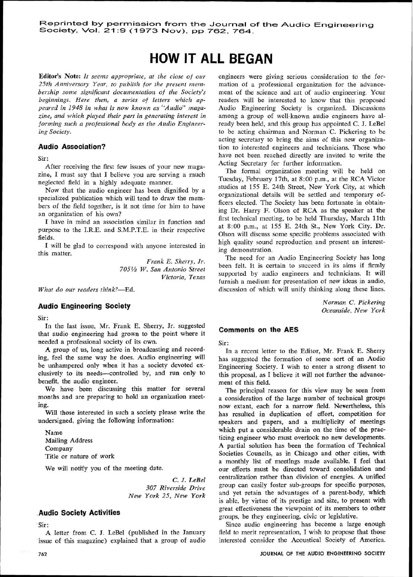# **HOW IT ALL BEGAN**

**Editor's Note:** *It seems appropriate, at the close of our*  25th Anniversary Year, to publish for the present membership some significant documentation of the Society's *beginnings. Here then, a series of letters which appeared in 1948 in what is now known as "Audio" maga*zine, and which played their part in generating interest in *forming such a professional body as the Audio Engineering Society,* 

### **Audio Association?**

Sir :

After receiving the first few issues of your new magazine, I must say that I believe you are serving a much neglected field in a highly adequate manner.

Now that the audio engineer has been dignified by a specialized publication which will tend to draw the members of the field together, is it not time for him to have an organization of his own?

I have in mind an association similar in function and purpose to the I.R.E. and S.M.P.T.E. in their respective fields.

I will be glad to correspond with anyone interested in this matter.

> *Frank E. Sherry, Jr. 705% W. San Antonio Street Victoria, Texas*

*What do our readers think?-Bd.* 

#### **Audio Engineering Society**

Sir :

In the last issue, Mr. Frank E. Sherry, Jr. suggested that audio engineering had grown to the point where it needed a professional society of its own.

**A** group of us, long active in broadcasting and recording, feel the same way he does. Audio engineering will be unhampered only when it has a society devoted exclusively to its needs-controlled by, and run only to benefit, the audio engineer.

We have been discussing this matter for several months and are preparing to hold an organization meeting.

Will those interested in such a society please write the undersigned, giving the following information:

Name Mailing Address Company Title or nature of work

**We** will notify you of the meeting date.

*C.* **3.** *LeBel 307 Riverside Drive New York 25, New York* 

# **Audio Society Activities**

Sir:

A letter from C. **3.** LeBel (published in the January issue of this magazine) explained that a group of audio

engineers were giving serious consideration to the formation of a professional organization for the advancement of the science and art of audio engineering. Your readers will bc interested to know that this proposed Audio Engineering Society is organized. Discussions among a group of well-known audio engineers have already been held, and this group has appointed C. J. LeBel to be acting chairman and Norman C. Pickering to be acting secretary to bring the aims of this new organization to interested engineers and technicians. Those who have not been reached directly are invited to write the Acting Secretary for further information.

The formal organization meeting will be held on Tuesday, February 17th, at 8:00 p.m., at the RCA Victor studios at 155 E. 24th Street, New York City, at which organizational details will be settled and temporary officers elected. The Society has been fortunate in obtaining Dr. Harry F. Olson of RCA as the speaker at the first technical meeting, to be held Thursday, March 1 lth at 8:00 p.m., at 155 E. 24th St., New York City. Dr. Olson will discuss some specific problems associated with high quality sound reproduction and present an interesting demonstration.

The need for an Audio Engineering Society has long been felt. It is certain to succeed in its aims if firmly supported by audio engineers and technicians. It will furnish a medium for presentation of new ideas in audio, discussion of which will unify thinking along these lines.

> *Norman C. Pickering Oceanside. New York*

#### **Comments on the AES**

Sir :

In a recent letter to the Editor, Mr. Frank E. Sherry has suggested the formation of some sort of an Audio Engineering Society. I wish to enter a strong dissent to this proposal, as I believe it will not further the advancement of this field.

The principal reason for this view may be seen from 2, consideration of the large number of technical groups now extant, each for a narrow field. Nevertheless, this has resulted in duplication of effort, competition for speakers and papers, and a multiplicity of meetings which put a considerable drain on the time of the practicing engineer who must overlook no new developments. A partial solution has been the formation of Technical Societies Councils, as in Chicago and other cities, with a monthly list of meetings made available. I feel that our efforts must be directed toward consolidation and centralization rather than division of energies. A unified group can easily foster sub-groups for specific purposes, and yet retain the advantages of a parent-body, which is able, by virtue of its prestige and size, to present with great effectiveness the viewpoint of its members to other groups, be they engineering, civic or legislative.

Since audio engineering has become a large enough field to merit representation, I wish to propose that those interested consider the Acoustical Society of America.